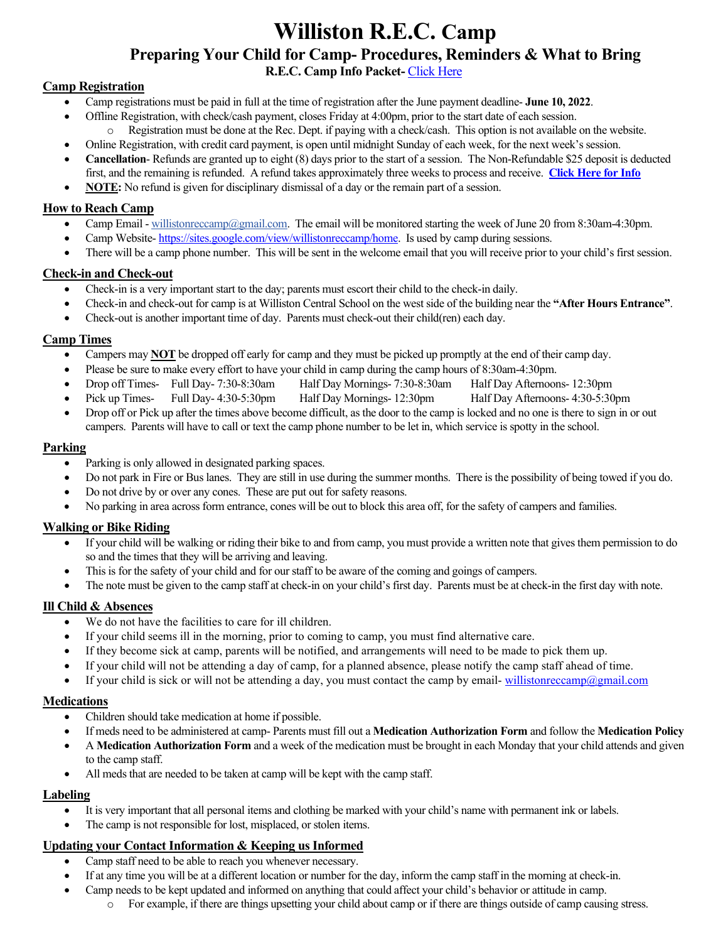# **Williston R.E.C. Camp Preparing Your Child for Camp- Procedures, Reminders & What to Bring**

**R.E.C. Camp Info Packet-** [Click Here](https://www.willistonrec.org/forms/6013_informationpacket.daycamp.pdf)

# **Camp Registration**

- Camp registrations must be paid in full at the time of registration after the June payment deadline- **June 10, 2022**.
- Offline Registration, with check/cash payment, closes Friday at 4:00pm, prior to the start date of each session. o Registration must be done at the Rec. Dept. if paying with a check/cash. This option is not available on the website.
- Online Registration, with credit card payment, is open until midnight Sunday of each week, for the next week's session.
- **Cancellation** Refunds are granted up to eight (8) days prior to the start of a session. The Non-Refundable \$25 deposit is deducted first, and the remaining is refunded. A refund takes approximately three weeks to process and receive. **[Click Here for Info](https://www.willistonrec.org/info/dept/details.aspx?DeptInfoID=1054)**
- **NOTE:** No refund is given for disciplinary dismissal of a day or the remain part of a session.

# **How to Reach Camp**

- Camp Email [willistonreccamp@gmail.com.](mailto:willistonreccamp@gmail.com) The email will be monitored starting the week of June 20 from 8:30am-4:30pm.
- Camp Website- [https://sites.google.com/view/willistonreccamp/home.](https://sites.google.com/view/willistonreccamp/home) Is used by camp during sessions.
- There will be a camp phone number. This will be sent in the welcome email that you will receive prior to your child's first session.

## **Check-in and Check-out**

- Check-in is a very important start to the day; parents must escort their child to the check-in daily.
- Check-in and check-out for camp is at Williston Central School on the west side of the building near the **"After Hours Entrance"**.
- Check-out is another important time of day. Parents must check-out their child(ren) each day.

# **Camp Times**

- Campers may **NOT** be dropped off early for camp and they must be picked up promptly at the end of their camp day.
- Please be sure to make every effort to have your child in camp during the camp hours of 8:30am-4:30pm.
- Drop off Times- Full Day- 7:30-8:30am Half Day Mornings- 7:30-8:30am Half Day Afternoons- 12:30pm
- Pick up Times- Full Day- 4:30-5:30pm Half Day Mornings- 12:30pm Half Day Afternoons- 4:30-5:30pm
- Drop off or Pick up after the times above become difficult, as the door to the camp is locked and no one is there to sign in or out campers. Parents will have to call or text the camp phone number to be let in, which service is spotty in the school.

#### **Parking**

- Parking is only allowed in designated parking spaces.
- Do not park in Fire or Bus lanes. They are still in use during the summer months. There is the possibility of being towed if you do.
- Do not drive by or over any cones. These are put out for safety reasons.
- No parking in area across form entrance, cones will be out to block this area off, for the safety of campers and families.

# **Walking or Bike Riding**

- If your child will be walking or riding their bike to and from camp, you must provide a written note that gives them permission to do so and the times that they will be arriving and leaving.
- This is for the safety of your child and for our staff to be aware of the coming and goings of campers.
- The note must be given to the camp staff at check-in on your child's first day. Parents must be at check-in the first day with note.

#### **Ill Child & Absences**

- We do not have the facilities to care for ill children.
- If your child seems ill in the morning, prior to coming to camp, you must find alternative care.
- If they become sick at camp, parents will be notified, and arrangements will need to be made to pick them up.
- If your child will not be attending a day of camp, for a planned absence, please notify the camp staff ahead of time.
- If your child is sick or will not be attending a day, you must contact the camp by email-[willistonreccamp@gmail.com](mailto:willistonreccamp@gmail.com)

#### **Medications**

- Children should take medication at home if possible.
- If meds need to be administered at camp- Parents must fill out a **Medication Authorization Form** and follow the **Medication Policy**
- A **Medication Authorization Form** and a week of the medication must be brought in each Monday that your child attends and given to the camp staff.
- All meds that are needed to be taken at camp will be kept with the camp staff.

#### **Labeling**

- It is very important that all personal items and clothing be marked with your child's name with permanent ink or labels.
- The camp is not responsible for lost, misplaced, or stolen items.

#### **Updating your Contact Information & Keeping us Informed**

- Camp staff need to be able to reach you whenever necessary.
- If at any time you will be at a different location or number for the day, inform the camp staff in the morning at check-in.
- Camp needs to be kept updated and informed on anything that could affect your child's behavior or attitude in camp.
	- o For example, if there are things upsetting your child about camp or if there are things outside of camp causing stress.